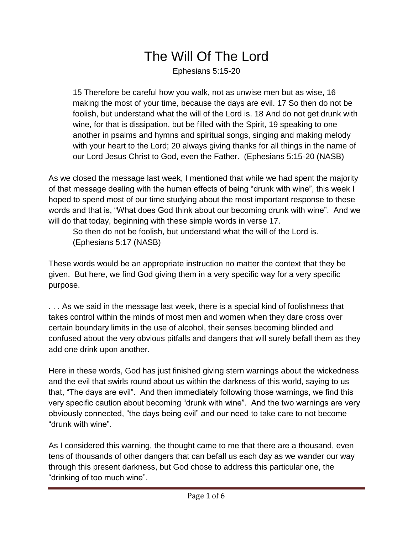## The Will Of The Lord

Ephesians 5:15-20

15 Therefore be careful how you walk, not as unwise men but as wise, 16 making the most of your time, because the days are evil. 17 So then do not be foolish, but understand what the will of the Lord is. 18 And do not get drunk with wine, for that is dissipation, but be filled with the Spirit, 19 speaking to one another in psalms and hymns and spiritual songs, singing and making melody with your heart to the Lord; 20 always giving thanks for all things in the name of our Lord Jesus Christ to God, even the Father. (Ephesians 5:15-20 (NASB)

As we closed the message last week, I mentioned that while we had spent the majority of that message dealing with the human effects of being "drunk with wine", this week I hoped to spend most of our time studying about the most important response to these words and that is, "What does God think about our becoming drunk with wine". And we will do that today, beginning with these simple words in verse 17.

So then do not be foolish, but understand what the will of the Lord is. (Ephesians 5:17 (NASB)

These words would be an appropriate instruction no matter the context that they be given. But here, we find God giving them in a very specific way for a very specific purpose.

. . . As we said in the message last week, there is a special kind of foolishness that takes control within the minds of most men and women when they dare cross over certain boundary limits in the use of alcohol, their senses becoming blinded and confused about the very obvious pitfalls and dangers that will surely befall them as they add one drink upon another.

Here in these words, God has just finished giving stern warnings about the wickedness and the evil that swirls round about us within the darkness of this world, saying to us that, "The days are evil". And then immediately following those warnings, we find this very specific caution about becoming "drunk with wine". And the two warnings are very obviously connected, "the days being evil" and our need to take care to not become "drunk with wine".

As I considered this warning, the thought came to me that there are a thousand, even tens of thousands of other dangers that can befall us each day as we wander our way through this present darkness, but God chose to address this particular one, the "drinking of too much wine".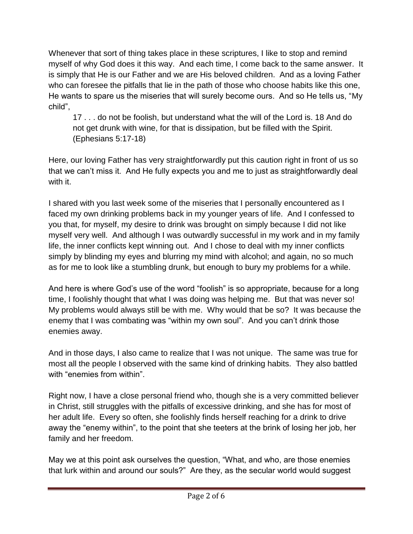Whenever that sort of thing takes place in these scriptures, I like to stop and remind myself of why God does it this way. And each time, I come back to the same answer. It is simply that He is our Father and we are His beloved children. And as a loving Father who can foresee the pitfalls that lie in the path of those who choose habits like this one, He wants to spare us the miseries that will surely become ours. And so He tells us, "My child",

17 . . . do not be foolish, but understand what the will of the Lord is. 18 And do not get drunk with wine, for that is dissipation, but be filled with the Spirit. (Ephesians 5:17-18)

Here, our loving Father has very straightforwardly put this caution right in front of us so that we can't miss it. And He fully expects you and me to just as straightforwardly deal with it.

I shared with you last week some of the miseries that I personally encountered as I faced my own drinking problems back in my younger years of life. And I confessed to you that, for myself, my desire to drink was brought on simply because I did not like myself very well. And although I was outwardly successful in my work and in my family life, the inner conflicts kept winning out. And I chose to deal with my inner conflicts simply by blinding my eyes and blurring my mind with alcohol; and again, no so much as for me to look like a stumbling drunk, but enough to bury my problems for a while.

And here is where God's use of the word "foolish" is so appropriate, because for a long time, I foolishly thought that what I was doing was helping me. But that was never so! My problems would always still be with me. Why would that be so? It was because the enemy that I was combating was "within my own soul". And you can't drink those enemies away.

And in those days, I also came to realize that I was not unique. The same was true for most all the people I observed with the same kind of drinking habits. They also battled with "enemies from within".

Right now, I have a close personal friend who, though she is a very committed believer in Christ, still struggles with the pitfalls of excessive drinking, and she has for most of her adult life. Every so often, she foolishly finds herself reaching for a drink to drive away the "enemy within", to the point that she teeters at the brink of losing her job, her family and her freedom.

May we at this point ask ourselves the question, "What, and who, are those enemies that lurk within and around our souls?" Are they, as the secular world would suggest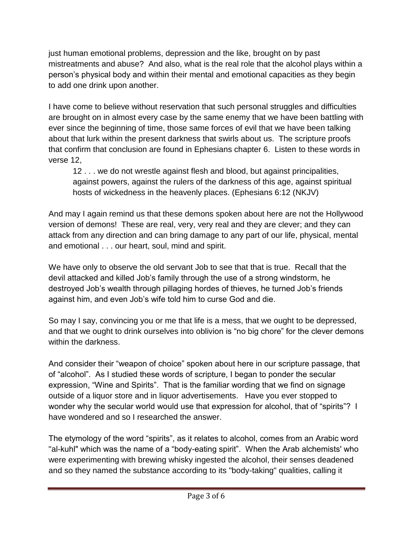just human emotional problems, depression and the like, brought on by past mistreatments and abuse? And also, what is the real role that the alcohol plays within a person's physical body and within their mental and emotional capacities as they begin to add one drink upon another.

I have come to believe without reservation that such personal struggles and difficulties are brought on in almost every case by the same enemy that we have been battling with ever since the beginning of time, those same forces of evil that we have been talking about that lurk within the present darkness that swirls about us. The scripture proofs that confirm that conclusion are found in Ephesians chapter 6. Listen to these words in verse 12,

12 . . . we do not wrestle against flesh and blood, but against principalities, against powers, against the rulers of the darkness of this age, against spiritual hosts of wickedness in the heavenly places. (Ephesians 6:12 (NKJV)

And may I again remind us that these demons spoken about here are not the Hollywood version of demons! These are real, very, very real and they are clever; and they can attack from any direction and can bring damage to any part of our life, physical, mental and emotional . . . our heart, soul, mind and spirit.

We have only to observe the old servant Job to see that that is true. Recall that the devil attacked and killed Job's family through the use of a strong windstorm, he destroyed Job's wealth through pillaging hordes of thieves, he turned Job's friends against him, and even Job's wife told him to curse God and die.

So may I say, convincing you or me that life is a mess, that we ought to be depressed, and that we ought to drink ourselves into oblivion is "no big chore" for the clever demons within the darkness.

And consider their "weapon of choice" spoken about here in our scripture passage, that of "alcohol". As I studied these words of scripture, I began to ponder the secular expression, "Wine and Spirits". That is the familiar wording that we find on signage outside of a liquor store and in liquor advertisements. Have you ever stopped to wonder why the secular world would use that expression for alcohol, that of "spirits"? I have wondered and so I researched the answer.

The etymology of the word "spirits", as it relates to alcohol, comes from an Arabic word "al-kuhl" which was the name of a "body-eating spirit". When the Arab alchemists' who were experimenting with brewing whisky ingested the alcohol, their senses deadened and so they named the substance according to its "body-taking" qualities, calling it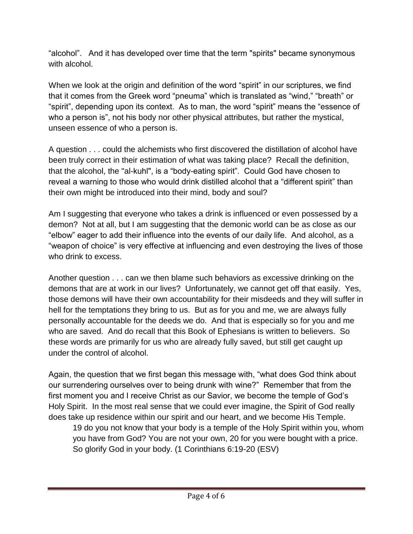"alcohol". And it has developed over time that the term "spirits" became synonymous with alcohol.

When we look at the origin and definition of the word "spirit" in our scriptures, we find that it comes from the Greek word "pneuma" which is translated as "wind," "breath" or "spirit", depending upon its context. As to man, the word "spirit" means the "essence of who a person is", not his body nor other physical attributes, but rather the mystical, unseen essence of who a person is.

A question . . . could the alchemists who first discovered the distillation of alcohol have been truly correct in their estimation of what was taking place? Recall the definition, that the alcohol, the "al-kuhl", is a "body-eating spirit". Could God have chosen to reveal a warning to those who would drink distilled alcohol that a "different spirit" than their own might be introduced into their mind, body and soul?

Am I suggesting that everyone who takes a drink is influenced or even possessed by a demon? Not at all, but I am suggesting that the demonic world can be as close as our "elbow" eager to add their influence into the events of our daily life. And alcohol, as a "weapon of choice" is very effective at influencing and even destroying the lives of those who drink to excess.

Another question . . . can we then blame such behaviors as excessive drinking on the demons that are at work in our lives? Unfortunately, we cannot get off that easily. Yes, those demons will have their own accountability for their misdeeds and they will suffer in hell for the temptations they bring to us. But as for you and me, we are always fully personally accountable for the deeds we do. And that is especially so for you and me who are saved. And do recall that this Book of Ephesians is written to believers. So these words are primarily for us who are already fully saved, but still get caught up under the control of alcohol.

Again, the question that we first began this message with, "what does God think about our surrendering ourselves over to being drunk with wine?" Remember that from the first moment you and I receive Christ as our Savior, we become the temple of God's Holy Spirit. In the most real sense that we could ever imagine, the Spirit of God really does take up residence within our spirit and our heart, and we become His Temple.

19 do you not know that your body is a temple of the Holy Spirit within you, whom you have from God? You are not your own, 20 for you were bought with a price. So glorify God in your body. (1 Corinthians 6:19-20 (ESV)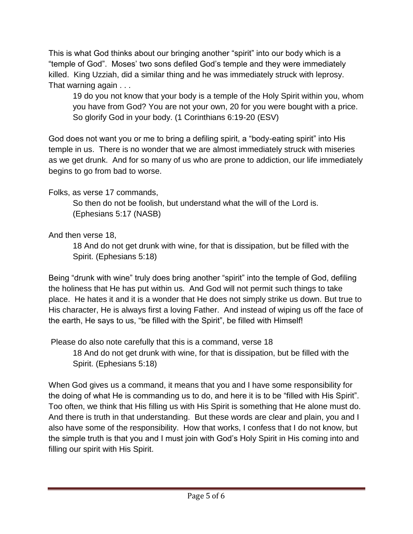This is what God thinks about our bringing another "spirit" into our body which is a "temple of God". Moses' two sons defiled God's temple and they were immediately killed. King Uzziah, did a similar thing and he was immediately struck with leprosy. That warning again . . .

19 do you not know that your body is a temple of the Holy Spirit within you, whom you have from God? You are not your own, 20 for you were bought with a price. So glorify God in your body. (1 Corinthians 6:19-20 (ESV)

God does not want you or me to bring a defiling spirit, a "body-eating spirit" into His temple in us. There is no wonder that we are almost immediately struck with miseries as we get drunk. And for so many of us who are prone to addiction, our life immediately begins to go from bad to worse.

Folks, as verse 17 commands,

So then do not be foolish, but understand what the will of the Lord is. (Ephesians 5:17 (NASB)

And then verse 18,

18 And do not get drunk with wine, for that is dissipation, but be filled with the Spirit. (Ephesians 5:18)

Being "drunk with wine" truly does bring another "spirit" into the temple of God, defiling the holiness that He has put within us. And God will not permit such things to take place. He hates it and it is a wonder that He does not simply strike us down. But true to His character, He is always first a loving Father. And instead of wiping us off the face of the earth, He says to us, "be filled with the Spirit", be filled with Himself!

Please do also note carefully that this is a command, verse 18

18 And do not get drunk with wine, for that is dissipation, but be filled with the Spirit. (Ephesians 5:18)

When God gives us a command, it means that you and I have some responsibility for the doing of what He is commanding us to do, and here it is to be "filled with His Spirit". Too often, we think that His filling us with His Spirit is something that He alone must do. And there is truth in that understanding. But these words are clear and plain, you and I also have some of the responsibility. How that works, I confess that I do not know, but the simple truth is that you and I must join with God's Holy Spirit in His coming into and filling our spirit with His Spirit.